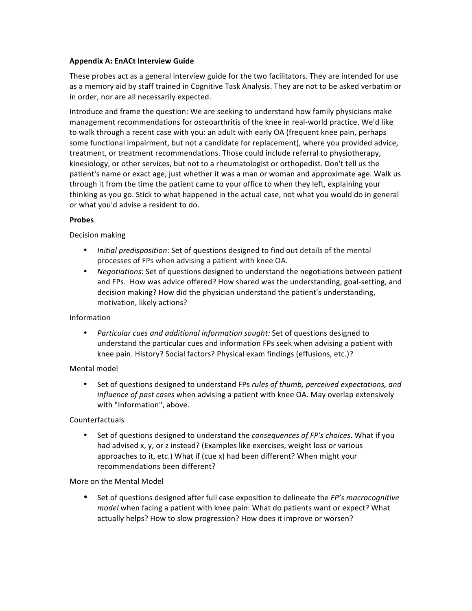### **Appendix A: EnACt Interview Guide**

These probes act as a general interview guide for the two facilitators. They are intended for use as a memory aid by staff trained in Cognitive Task Analysis. They are not to be asked verbatim or in order, nor are all necessarily expected.

Introduce and frame the question: We are seeking to understand how family physicians make management recommendations for osteoarthritis of the knee in real-world practice. We'd like to walk through a recent case with you: an adult with early OA (frequent knee pain, perhaps some functional impairment, but not a candidate for replacement), where you provided advice, treatment, or treatment recommendations. Those could include referral to physiotherapy, kinesiology, or other services, but not to a rheumatologist or orthopedist. Don't tell us the patient's name or exact age, just whether it was a man or woman and approximate age. Walk us through it from the time the patient came to your office to when they left, explaining your thinking as you go. Stick to what happened in the actual case, not what you would do in general or what you'd advise a resident to do.

### **Probes**

# Decision making

- Initial predisposition: Set of questions designed to find out details of the mental processes of FPs when advising a patient with knee OA.
- Negotiations: Set of questions designed to understand the negotiations between patient and FPs. How was advice offered? How shared was the understanding, goal-setting, and decision making? How did the physician understand the patient's understanding, motivation, likely actions?

### Information

*Particular cues and additional information sought:* Set of questions designed to understand the particular cues and information FPs seek when advising a patient with knee pain. History? Social factors? Physical exam findings (effusions, etc.)?

### Mental model

• Set of questions designed to understand FPs *rules of thumb, perceived expectations, and influence of past cases* when advising a patient with knee OA. May overlap extensively with "Information", above.

# Counterfactuals

Set of questions designed to understand the *consequences of FP's choices*. What if you had advised x, y, or z instead? (Examples like exercises, weight loss or various approaches to it, etc.) What if (cue x) had been different? When might your recommendations been different?

### More on the Mental Model

Set of questions designed after full case exposition to delineate the *FP's macrocognitive model* when facing a patient with knee pain: What do patients want or expect? What actually helps? How to slow progression? How does it improve or worsen?